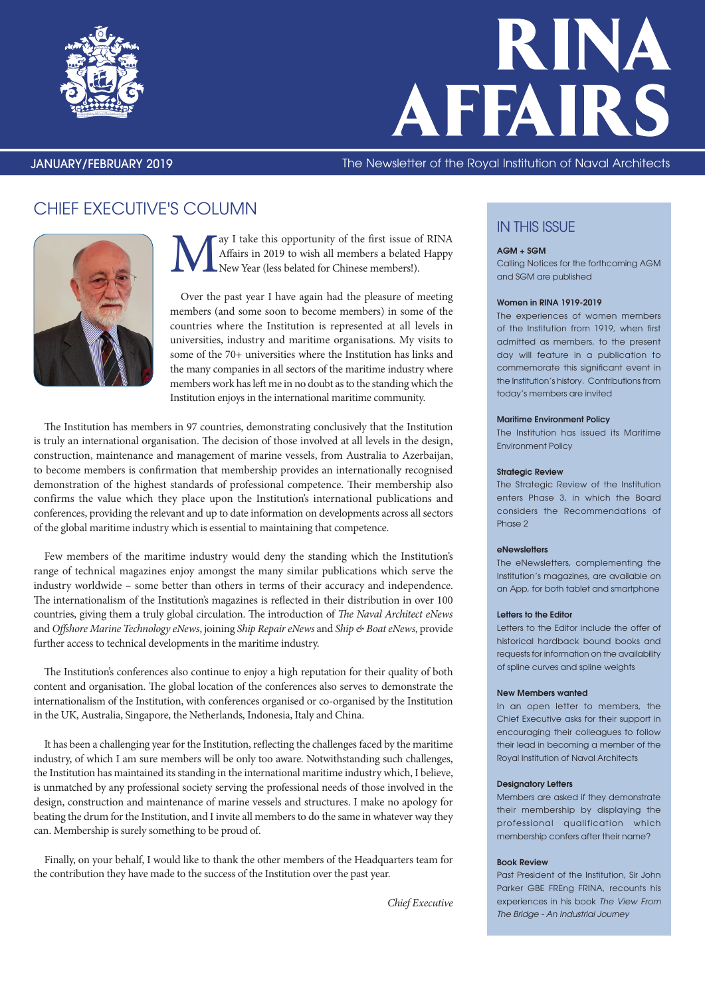



### JANUARY/FEBRUARY 2019 The Newsletter of the Royal Institution of Naval Architects

## CHIEF EXECUTIVE'S COLUMN



Next I take this opportunity of the first issue of RINA<br>Affairs in 2019 to wish all members a belated Happy<br>New Year (less belated for Chinese members!). Affairs in 2019 to wish all members a belated Happy New Year (less belated for Chinese members!).

Over the past year I have again had the pleasure of meeting members (and some soon to become members) in some of the countries where the Institution is represented at all levels in universities, industry and maritime organisations. My visits to some of the 70+ universities where the Institution has links and the many companies in all sectors of the maritime industry where members work has left me in no doubt as to the standing which the Institution enjoys in the international maritime community.

The Institution has members in 97 countries, demonstrating conclusively that the Institution is truly an international organisation. The decision of those involved at all levels in the design, construction, maintenance and management of marine vessels, from Australia to Azerbaijan, to become members is confirmation that membership provides an internationally recognised demonstration of the highest standards of professional competence. Their membership also confirms the value which they place upon the Institution's international publications and conferences, providing the relevant and up to date information on developments across all sectors of the global maritime industry which is essential to maintaining that competence.

Few members of the maritime industry would deny the standing which the Institution's range of technical magazines enjoy amongst the many similar publications which serve the industry worldwide – some better than others in terms of their accuracy and independence. The internationalism of the Institution's magazines is reflected in their distribution in over 100 countries, giving them a truly global circulation. The introduction of *The Naval Architect eNews* and *Offshore Marine Technology eNews*, joining *Ship Repair eNews* and *Ship & Boat eNews*, provide further access to technical developments in the maritime industry.

The Institution's conferences also continue to enjoy a high reputation for their quality of both content and organisation. The global location of the conferences also serves to demonstrate the internationalism of the Institution, with conferences organised or co-organised by the Institution in the UK, Australia, Singapore, the Netherlands, Indonesia, Italy and China.

It has been a challenging year for the Institution, reflecting the challenges faced by the maritime industry, of which I am sure members will be only too aware. Notwithstanding such challenges, the Institution has maintained its standing in the international maritime industry which, I believe, is unmatched by any professional society serving the professional needs of those involved in the design, construction and maintenance of marine vessels and structures. I make no apology for beating the drum for the Institution, and I invite all members to do the same in whatever way they can. Membership is surely something to be proud of.

Finally, on your behalf, I would like to thank the other members of the Headquarters team for the contribution they have made to the success of the Institution over the past year.

*Chief Executive*

### **IN THIS ISSUE**

### AGM + SGM

Calling Notices for the forthcoming AGM and SGM are published

### Women in RINA 1919-2019

The experiences of women members of the Institution from 1919, when first admitted as members, to the present day will feature in a publication to commemorate this significant event in the Institution's history. Contributions from today's members are invited

#### Maritime Environment Policy

The Institution has issued its Maritime Environment Policy

### **Strategic Review**

The Strategic Review of the Institution enters Phase 3, in which the Board considers the Recommendations of Phase 2

#### eNewsletters

The eNewsletters, complementing the Institution's magazines, are available on an App, for both tablet and smartphone

### Letters to the Editor

Letters to the Editor include the offer of historical hardback bound books and requests for information on the availability of spline curves and spline weights

### New Members wanted

In an open letter to members, the Chief Executive asks for their support in encouraging their colleagues to follow their lead in becoming a member of the Royal Institution of Naval Architects

### Designatory Letters

Members are asked if they demonstrate their membership by displaying the professional qualification which membership confers after their name?

#### Book Review

Past President of the Institution, Sir John Parker GBE FREng FRINA, recounts his experiences in his book *The View From The Bridge - An Industrial Journey*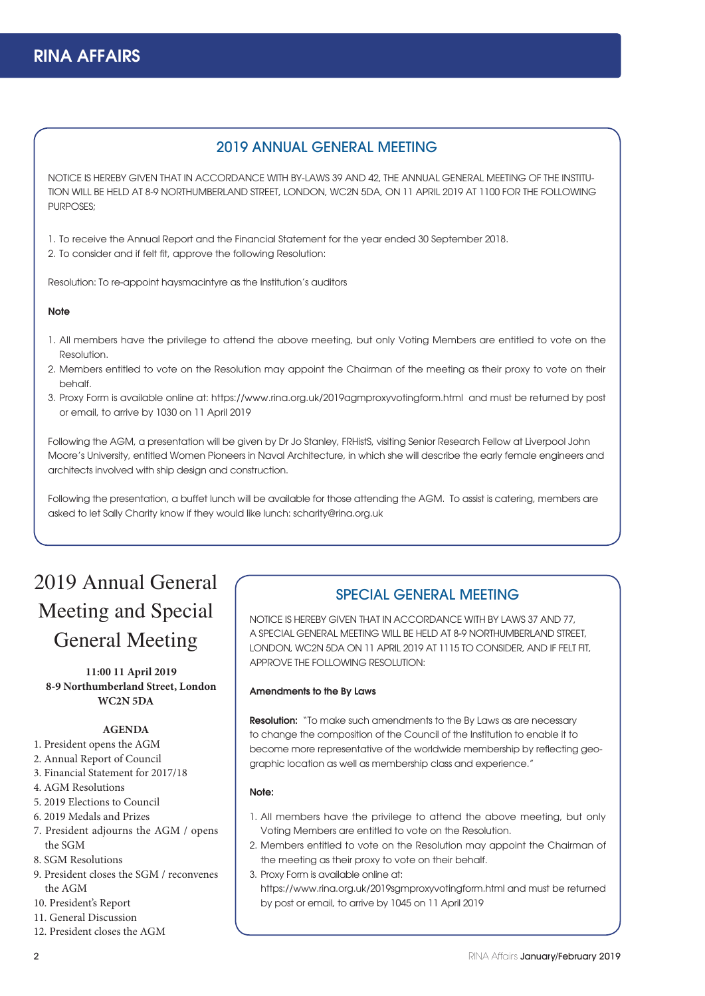### 2019 ANNUAL GENERAL MEETING

NOTICE IS HEREBY GIVEN THAT IN ACCORDANCE WITH BY-LAWS 39 AND 42, THE ANNUAL GENERAL MEETING OF THE INSTITU-TION WILL BE HELD AT 8-9 NORTHUMBERLAND STREET, LONDON, WC2N 5DA, ON 11 APRIL 2019 AT 1100 FOR THE FOLLOWING PURPOSES<sup>;</sup>

1. To receive the Annual Report and the Financial Statement for the year ended 30 September 2018.

2. To consider and if felt fit, approve the following Resolution:

Resolution: To re-appoint haysmacintyre as the Institution's auditors

### **Note**

- 1. All members have the privilege to attend the above meeting, but only Voting Members are entitled to vote on the Resolution.
- 2. Members entitled to vote on the Resolution may appoint the Chairman of the meeting as their proxy to vote on their behalf.
- 3. Proxy Form is available online at: https://www.rina.org.uk/2019agmproxyvotingform.html and must be returned by post or email, to arrive by 1030 on 11 April 2019

Following the AGM, a presentation will be given by Dr Jo Stanley, FRHistS, visiting Senior Research Fellow at Liverpool John Moore's University, entitled Women Pioneers in Naval Architecture, in which she will describe the early female engineers and architects involved with ship design and construction.

Following the presentation, a buffet lunch will be available for those attending the AGM. To assist is catering, members are asked to let Sally Charity know if they would like lunch: scharity@rina.org.uk

## 2019 Annual General Meeting and Special General Meeting

**11:00 11 April 2019 8-9 Northumberland Street, London WC2N 5DA**

### **AGENDA**

- 1. President opens the AGM
- 2. Annual Report of Council
- 3. Financial Statement for 2017/18
- 4. AGM Resolutions
- 5. 2019 Elections to Council
- 6. 2019 Medals and Prizes
- 7. President adjourns the AGM / opens the SGM
- 8. SGM Resolutions
- 9. President closes the SGM / reconvenes the AGM
- 10. President's Report
- 11. General Discussion
- 12. President closes the AGM

### SPECIAL GENERAL MEETING

NOTICE IS HEREBY GIVEN THAT IN ACCORDANCE WITH BY LAWS 37 AND 77, A SPECIAL GENERAL MEETING WILL BE HELD AT 8-9 NORTHUMBERLAND STREET, LONDON, WC2N 5DA ON 11 APRIL 2019 AT 1115 TO CONSIDER, AND IF FELT FIT, APPROVE THE FOLLOWING RESOLUTION:

### Amendments to the By Laws

**Resolution:** "To make such amendments to the By Laws as are necessary to change the composition of the Council of the Institution to enable it to become more representative of the worldwide membership by reflecting geographic location as well as membership class and experience."

### Note:

- 1. All members have the privilege to attend the above meeting, but only Voting Members are entitled to vote on the Resolution.
- 2. Members entitled to vote on the Resolution may appoint the Chairman of the meeting as their proxy to vote on their behalf.
- 3. Proxy Form is available online at: https://www.rina.org.uk/2019sgmproxyvotingform.html and must be returned by post or email, to arrive by 1045 on 11 April 2019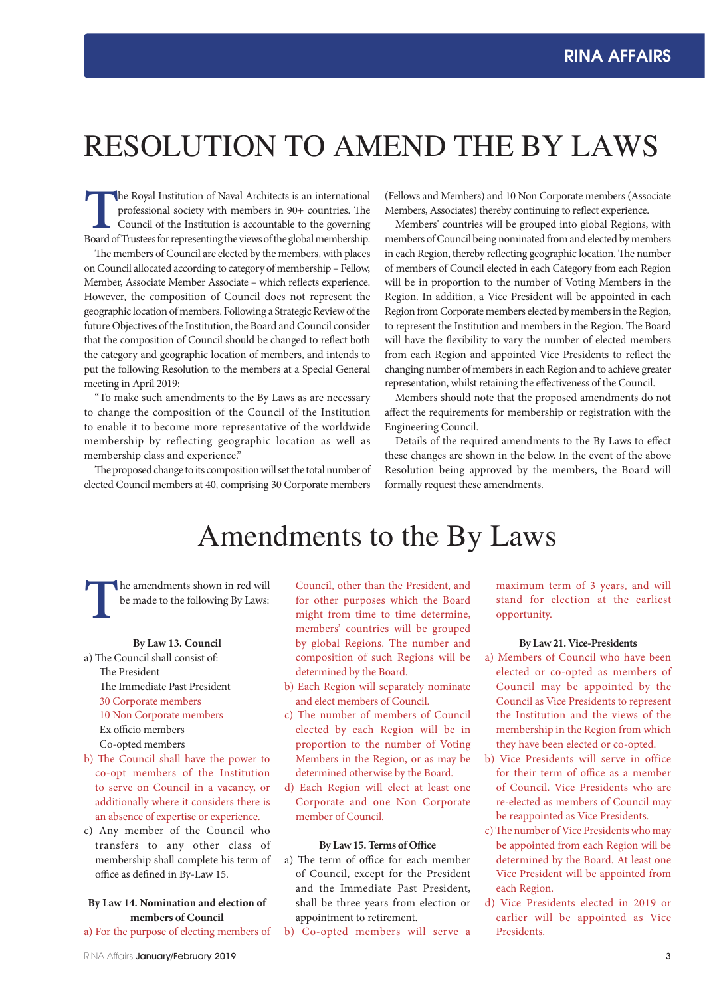# RESOLUTION TO AMEND THE BY LAWS

**The Royal Institution of Naval Architects is an international professional society with members in 90+ countries. The Council of the Institution is accountable to the governing Board of Trustees for representing the views** professional society with members in 90+ countries. The Council of the Institution is accountable to the governing Board of Trustees for representing the views of the global membership.

The members of Council are elected by the members, with places on Council allocated according to category of membership – Fellow, Member, Associate Member Associate – which reflects experience. However, the composition of Council does not represent the geographic location of members. Following a Strategic Review of the future Objectives of the Institution, the Board and Council consider that the composition of Council should be changed to reflect both the category and geographic location of members, and intends to put the following Resolution to the members at a Special General meeting in April 2019:

"To make such amendments to the By Laws as are necessary to change the composition of the Council of the Institution to enable it to become more representative of the worldwide membership by reflecting geographic location as well as membership class and experience."

The proposed change to its composition will set the total number of elected Council members at 40, comprising 30 Corporate members

(Fellows and Members) and 10 Non Corporate members (Associate Members, Associates) thereby continuing to reflect experience.

Members' countries will be grouped into global Regions, with members of Council being nominated from and elected by members in each Region, thereby reflecting geographic location. The number of members of Council elected in each Category from each Region will be in proportion to the number of Voting Members in the Region. In addition, a Vice President will be appointed in each Region from Corporate members elected by members in the Region, to represent the Institution and members in the Region. The Board will have the flexibility to vary the number of elected members from each Region and appointed Vice Presidents to reflect the changing number of members in each Region and to achieve greater representation, whilst retaining the effectiveness of the Council.

Members should note that the proposed amendments do not affect the requirements for membership or registration with the Engineering Council.

Details of the required amendments to the By Laws to effect these changes are shown in the below. In the event of the above Resolution being approved by the members, the Board will formally request these amendments.

## Amendments to the By Laws

**The amendments shown in red will** be made to the following By Laws:

### **By Law 13. Council**

a) The Council shall consist of: The President The Immediate Past President 30 Corporate members 10 Non Corporate members Ex officio members Co-opted members

- b) The Council shall have the power to co-opt members of the Institution to serve on Council in a vacancy, or additionally where it considers there is an absence of expertise or experience.
- c) Any member of the Council who transfers to any other class of membership shall complete his term of office as defined in By-Law 15.

### **By Law 14. Nomination and election of members of Council**

a) For the purpose of electing members of

Council, other than the President, and for other purposes which the Board might from time to time determine, members' countries will be grouped by global Regions. The number and composition of such Regions will be determined by the Board.

- b) Each Region will separately nominate and elect members of Council.
- c) The number of members of Council elected by each Region will be in proportion to the number of Voting Members in the Region, or as may be determined otherwise by the Board.
- d) Each Region will elect at least one Corporate and one Non Corporate member of Council.

### **By Law 15. Terms of Office**

- a) The term of office for each member of Council, except for the President and the Immediate Past President, shall be three years from election or appointment to retirement.
- b) Co-opted members will serve a

maximum term of 3 years, and will stand for election at the earliest opportunity.

### **By Law 21. Vice-Presidents**

- a) Members of Council who have been elected or co-opted as members of Council may be appointed by the Council as Vice Presidents to represent the Institution and the views of the membership in the Region from which they have been elected or co-opted.
- b) Vice Presidents will serve in office for their term of office as a member of Council. Vice Presidents who are re-elected as members of Council may be reappointed as Vice Presidents.
- c) The number of Vice Presidents who may be appointed from each Region will be determined by the Board. At least one Vice President will be appointed from each Region.
- d) Vice Presidents elected in 2019 or earlier will be appointed as Vice Presidents.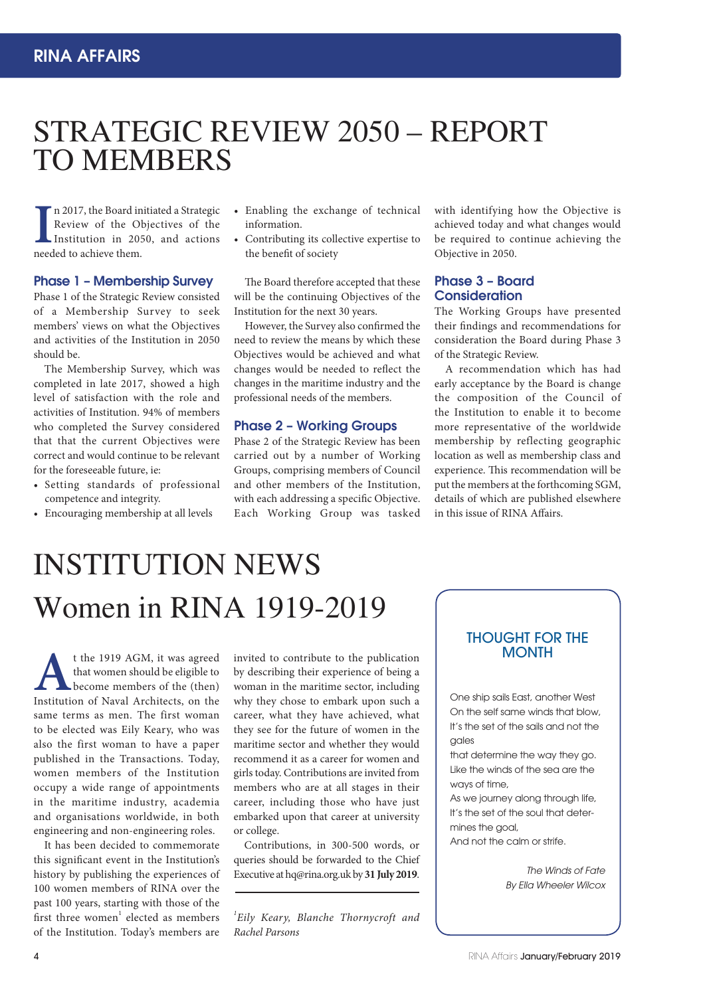# STRATEGIC REVIEW 2050 – REPORT TO MEMBERS

**I** needed to achieve them. n 2017, the Board initiated a Strategic Review of the Objectives of the Institution in 2050, and actions

### Phase 1 – Membership Survey

Phase 1 of the Strategic Review consisted of a Membership Survey to seek members' views on what the Objectives and activities of the Institution in 2050 should be.

The Membership Survey, which was completed in late 2017, showed a high level of satisfaction with the role and activities of Institution. 94% of members who completed the Survey considered that that the current Objectives were correct and would continue to be relevant for the foreseeable future, ie:

- Setting standards of professional competence and integrity.
- Encouraging membership at all levels
- Enabling the exchange of technical information.
- Contributing its collective expertise to the benefit of society

The Board therefore accepted that these will be the continuing Objectives of the Institution for the next 30 years.

However, the Survey also confirmed the need to review the means by which these Objectives would be achieved and what changes would be needed to reflect the changes in the maritime industry and the professional needs of the members.

### Phase 2 – Working Groups

Phase 2 of the Strategic Review has been carried out by a number of Working Groups, comprising members of Council and other members of the Institution, with each addressing a specific Objective. Each Working Group was tasked

with identifying how the Objective is achieved today and what changes would be required to continue achieving the Objective in 2050.

### Phase 3 – Board **Consideration**

The Working Groups have presented their findings and recommendations for consideration the Board during Phase 3 of the Strategic Review.

A recommendation which has had early acceptance by the Board is change the composition of the Council of the Institution to enable it to become more representative of the worldwide membership by reflecting geographic location as well as membership class and experience. This recommendation will be put the members at the forthcoming SGM, details of which are published elsewhere in this issue of RINA Affairs.

# Women in RINA 1919-2019 INSTITUTION NEWS

**A**t the 1919 AGM, it was agreed that women should be eligible to become members of the (then) Institution of Naval Architects, on the that women should be eligible to become members of the (then) same terms as men. The first woman to be elected was Eily Keary, who was also the first woman to have a paper published in the Transactions. Today, women members of the Institution occupy a wide range of appointments in the maritime industry, academia and organisations worldwide, in both engineering and non-engineering roles.

It has been decided to commemorate this significant event in the Institution's history by publishing the experiences of 100 women members of RINA over the past 100 years, starting with those of the first three women<sup>1</sup> elected as members of the Institution. Today's members are

invited to contribute to the publication by describing their experience of being a woman in the maritime sector, including why they chose to embark upon such a career, what they have achieved, what they see for the future of women in the maritime sector and whether they would recommend it as a career for women and girls today. Contributions are invited from members who are at all stages in their career, including those who have just embarked upon that career at university or college.

Contributions, in 300-500 words, or queries should be forwarded to the Chief Executive at hq@rina.org.uk by **31 July 2019**.

*1 Eily Keary, Blanche Thornycroft and Rachel Parsons*

### THOUGHT FOR THE **MONTH**

One ship sails East, another West On the self same winds that blow, It's the set of the sails and not the gales

that determine the way they go. Like the winds of the sea are the ways of time,

As we journey along through life, It's the set of the soul that determines the goal, And not the calm or strife.

> *The Winds of Fate By Ella Wheeler Wilcox*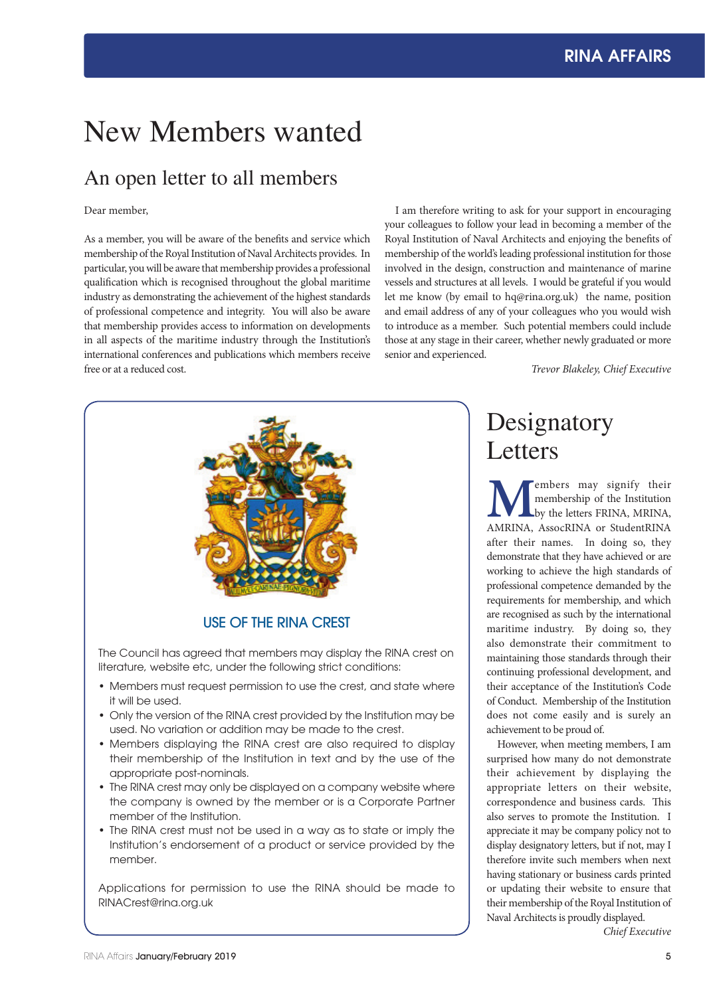# New Members wanted

## An open letter to all members

### Dear member,

As a member, you will be aware of the benefits and service which membership of the Royal Institution of Naval Architects provides. In particular, you will be aware that membership provides a professional qualification which is recognised throughout the global maritime industry as demonstrating the achievement of the highest standards of professional competence and integrity. You will also be aware that membership provides access to information on developments in all aspects of the maritime industry through the Institution's international conferences and publications which members receive free or at a reduced cost.

I am therefore writing to ask for your support in encouraging your colleagues to follow your lead in becoming a member of the Royal Institution of Naval Architects and enjoying the benefits of membership of the world's leading professional institution for those involved in the design, construction and maintenance of marine vessels and structures at all levels. I would be grateful if you would let me know (by email to hq@rina.org.uk) the name, position and email address of any of your colleagues who you would wish to introduce as a member. Such potential members could include those at any stage in their career, whether newly graduated or more senior and experienced.

*Trevor Blakeley, Chief Executive*



### USE OF THE RINA CREST

The Council has agreed that members may display the RINA crest on literature, website etc, under the following strict conditions:

- Members must request permission to use the crest, and state where it will be used.
- Only the version of the RINA crest provided by the Institution may be used. No variation or addition may be made to the crest.
- Members displaying the RINA crest are also required to display their membership of the Institution in text and by the use of the appropriate post-nominals.
- The RINA crest may only be displayed on a company website where the company is owned by the member or is a Corporate Partner member of the Institution.
- The RINA crest must not be used in a way as to state or imply the Institution's endorsement of a product or service provided by the member.

Applications for permission to use the RINA should be made to RINACrest@rina.org.uk

## Designatory Letters

**MEMBERS MANUS (EXECUTE:** MEDITY OF THE MANUS AMRINA, AMRINA, ASSOCRINA or StudentRINA membership of the Institution by the letters FRINA, MRINA, after their names. In doing so, they demonstrate that they have achieved or are working to achieve the high standards of professional competence demanded by the requirements for membership, and which are recognised as such by the international maritime industry. By doing so, they also demonstrate their commitment to maintaining those standards through their continuing professional development, and their acceptance of the Institution's Code of Conduct. Membership of the Institution does not come easily and is surely an achievement to be proud of.

However, when meeting members, I am surprised how many do not demonstrate their achievement by displaying the appropriate letters on their website, correspondence and business cards. This also serves to promote the Institution. I appreciate it may be company policy not to display designatory letters, but if not, may I therefore invite such members when next having stationary or business cards printed or updating their website to ensure that their membership of the Royal Institution of Naval Architects is proudly displayed.

*Chief Executive*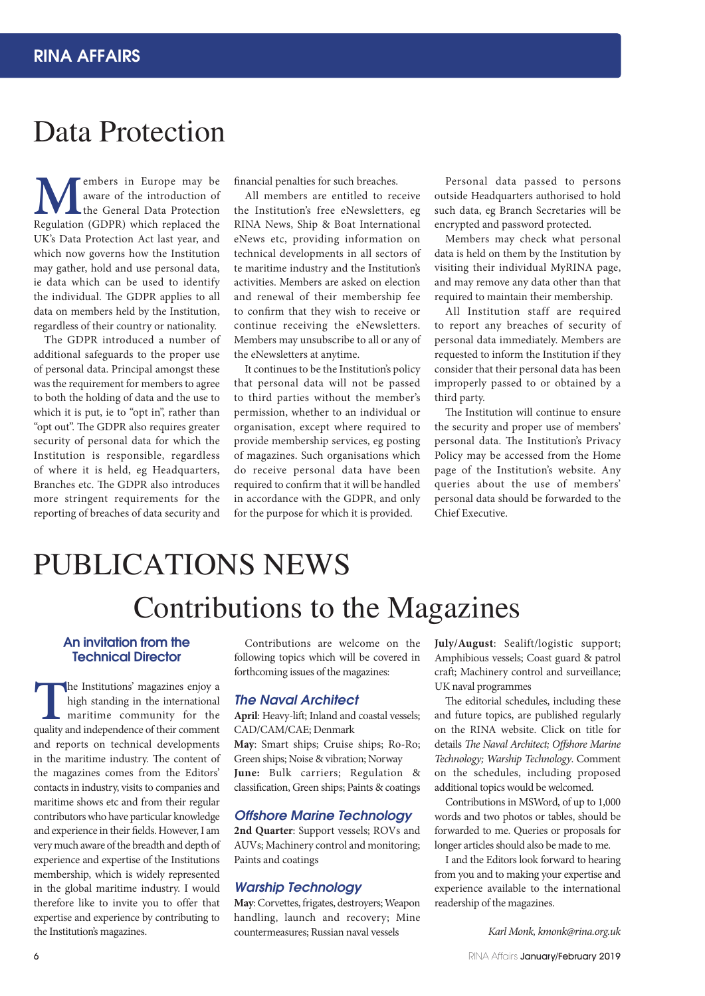## Data Protection

**M**embers in Europe may be aware of the introduction of the General Data Protection Regulation (GDPR) which replaced the aware of the introduction of the General Data Protection UK's Data Protection Act last year, and which now governs how the Institution may gather, hold and use personal data, ie data which can be used to identify the individual. The GDPR applies to all data on members held by the Institution, regardless of their country or nationality.

The GDPR introduced a number of additional safeguards to the proper use of personal data. Principal amongst these was the requirement for members to agree to both the holding of data and the use to which it is put, ie to "opt in", rather than "opt out". The GDPR also requires greater security of personal data for which the Institution is responsible, regardless of where it is held, eg Headquarters, Branches etc. The GDPR also introduces more stringent requirements for the reporting of breaches of data security and

financial penalties for such breaches.

All members are entitled to receive the Institution's free eNewsletters, eg RINA News, Ship & Boat International eNews etc, providing information on technical developments in all sectors of te maritime industry and the Institution's activities. Members are asked on election and renewal of their membership fee to confirm that they wish to receive or continue receiving the eNewsletters. Members may unsubscribe to all or any of the eNewsletters at anytime.

It continues to be the Institution's policy that personal data will not be passed to third parties without the member's permission, whether to an individual or organisation, except where required to provide membership services, eg posting of magazines. Such organisations which do receive personal data have been required to confirm that it will be handled in accordance with the GDPR, and only for the purpose for which it is provided.

Personal data passed to persons outside Headquarters authorised to hold such data, eg Branch Secretaries will be encrypted and password protected.

Members may check what personal data is held on them by the Institution by visiting their individual MyRINA page, and may remove any data other than that required to maintain their membership.

All Institution staff are required to report any breaches of security of personal data immediately. Members are requested to inform the Institution if they consider that their personal data has been improperly passed to or obtained by a third party.

The Institution will continue to ensure the security and proper use of members' personal data. The Institution's Privacy Policy may be accessed from the Home page of the Institution's website. Any queries about the use of members' personal data should be forwarded to the Chief Executive.

# PUBLICATIONS NEWS

# Contributions to the Magazines

### An invitation from the Technical Director

The Institutions' magazines enjoy a high standing in the international maritime community for the quality and independence of their comment high standing in the international maritime community for the and reports on technical developments in the maritime industry. The content of the magazines comes from the Editors' contacts in industry, visits to companies and maritime shows etc and from their regular contributors who have particular knowledge and experience in their fields. However, I am very much aware of the breadth and depth of experience and expertise of the Institutions membership, which is widely represented in the global maritime industry. I would therefore like to invite you to offer that expertise and experience by contributing to the Institution's magazines.

Contributions are welcome on the following topics which will be covered in forthcoming issues of the magazines:

### *The Naval Architect*

**April**: Heavy-lift; Inland and coastal vessels; CAD/CAM/CAE; Denmark **May**: Smart ships; Cruise ships; Ro-Ro; Green ships; Noise & vibration; Norway **June:** Bulk carriers; Regulation & classification, Green ships; Paints & coatings

### *Offshore Marine Technology*

**2nd Quarter**: Support vessels; ROVs and AUVs; Machinery control and monitoring; Paints and coatings

### *Warship Technology*

**May**: Corvettes, frigates, destroyers; Weapon handling, launch and recovery; Mine countermeasures; Russian naval vessels

**July/August**: Sealift/logistic support; Amphibious vessels; Coast guard & patrol craft; Machinery control and surveillance; UK naval programmes

The editorial schedules, including these and future topics, are published regularly on the RINA website. Click on title for details *The Naval Architect; Offshore Marine Technology; Warship Technology*. Comment on the schedules, including proposed additional topics would be welcomed.

Contributions in MSWord, of up to 1,000 words and two photos or tables, should be forwarded to me. Queries or proposals for longer articles should also be made to me.

I and the Editors look forward to hearing from you and to making your expertise and experience available to the international readership of the magazines.

*Karl Monk, kmonk@rina.org.uk*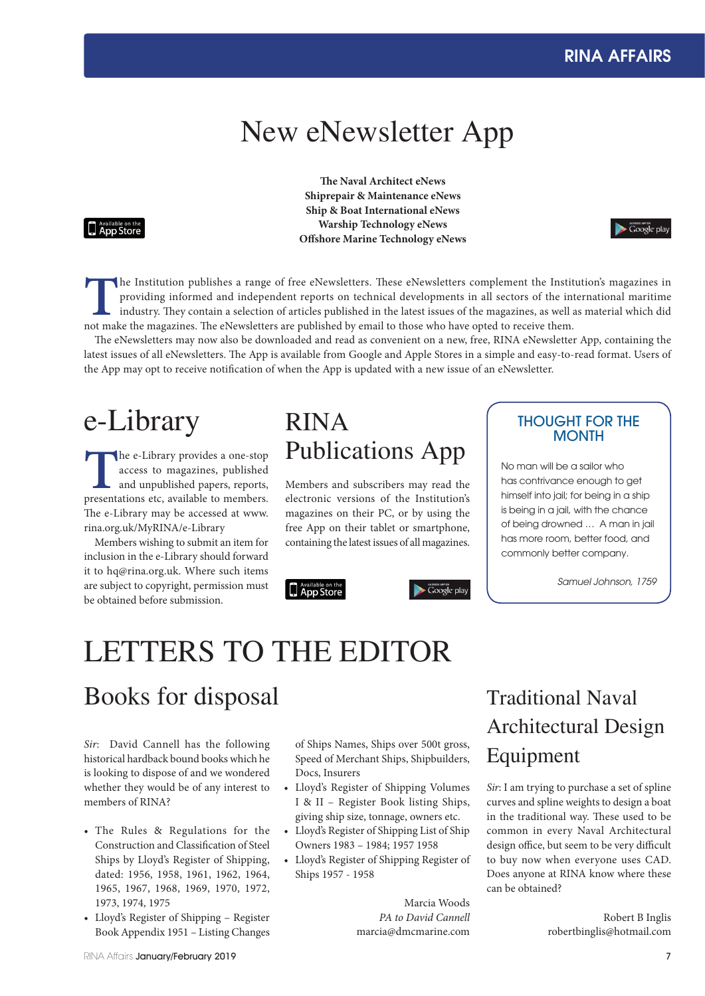## New eNewsletter App

### **Available on the App Store**

**The Naval Architect eNews Shiprepair & Maintenance eNews Ship & Boat International eNews Warship Technology eNews Offshore Marine Technology eNews**



**T**he Institution publishes a range of free eNewsletters. These eNewsletters complement the Institution's magazines in providing informed and independent reports on technical developments in all sectors of the international maritime industry. They contain a selection of articles published in the latest issues of the magazines, as well as material which did not make the magazines. The eNewsletters are published by email to those who have opted to receive them.

The eNewsletters may now also be downloaded and read as convenient on a new, free, RINA eNewsletter App, containing the latest issues of all eNewsletters. The App is available from Google and Apple Stores in a simple and easy-to-read format. Users of the App may opt to receive notification of when the App is updated with a new issue of an eNewsletter.

The e-Library provides a one-stop access to magazines, published and unpublished papers, reports, presentations etc, available to members. access to magazines, published and unpublished papers, reports, The e-Library may be accessed at www. rina.org.uk/MyRINA/e-Library

Members wishing to submit an item for inclusion in the e-Library should forward it to hq@rina.org.uk. Where such items are subject to copyright, permission must be obtained before submission.

## $e$ -Library  $RINA$   $\qquad$   $HOUGHT FOR THE$ RINA Publications App

Members and subscribers may read the electronic versions of the Institution's magazines on their PC, or by using the free App on their tablet or smartphone, containing the latest issues of all magazines.

 $\blacktriangleright$  Google play



# **MONTH**

No man will be a sailor who has contrivance enough to get himself into jail; for being in a ship is being in a jail, with the chance of being drowned … A man in jail has more room, better food, and commonly better company.

*Samuel Johnson, 1759*

# LETTERS TO THE EDITOR

## Books for disposal

*Sir*: David Cannell has the following historical hardback bound books which he is looking to dispose of and we wondered whether they would be of any interest to members of RINA?

- The Rules & Regulations for the Construction and Classification of Steel Ships by Lloyd's Register of Shipping, dated: 1956, 1958, 1961, 1962, 1964, 1965, 1967, 1968, 1969, 1970, 1972, 1973, 1974, 1975
- Lloyd's Register of Shipping Register Book Appendix 1951 – Listing Changes

of Ships Names, Ships over 500t gross, Speed of Merchant Ships, Shipbuilders, Docs, Insurers

- Lloyd's Register of Shipping Volumes I & II – Register Book listing Ships, giving ship size, tonnage, owners etc.
- Lloyd's Register of Shipping List of Ship Owners 1983 – 1984; 1957 1958
- Lloyd's Register of Shipping Register of Ships 1957 - 1958

Marcia Woods *PA to David Cannell* marcia@dmcmarine.com

## Traditional Naval Architectural Design Equipment

*Sir*: I am trying to purchase a set of spline curves and spline weights to design a boat in the traditional way. These used to be common in every Naval Architectural design office, but seem to be very difficult to buy now when everyone uses CAD. Does anyone at RINA know where these can be obtained?

> Robert B Inglis robertbinglis@hotmail.com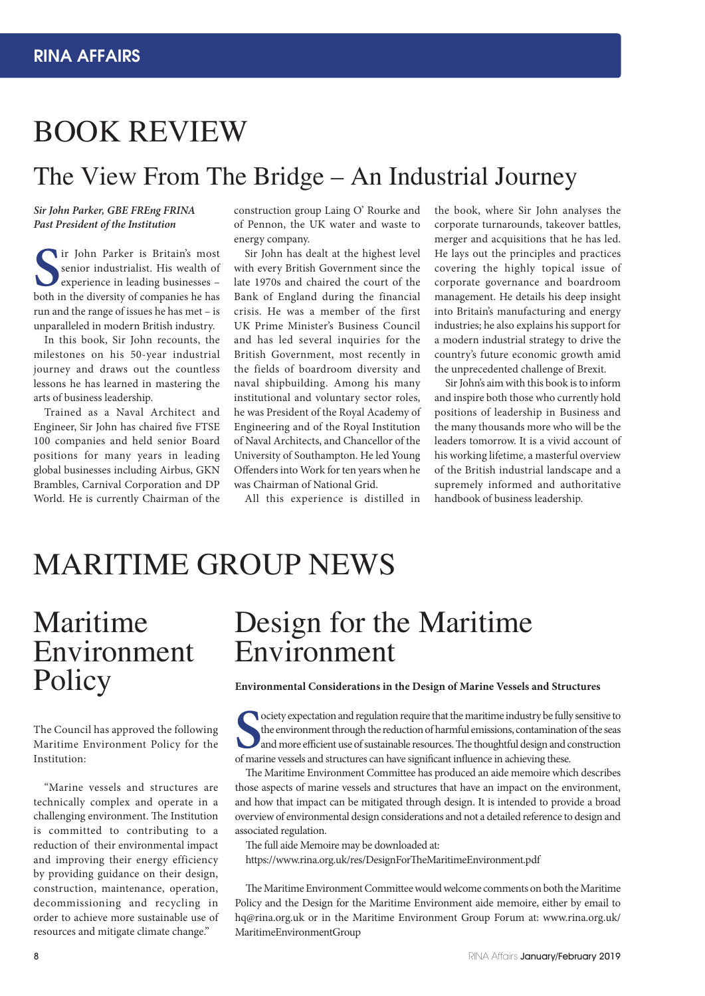# BOOK REVIEW

## The View From The Bridge – An Industrial Journey

### *Sir John Parker, GBE FREng FRINA Past President of the Institution*

**S** both in the diversity of companies he has ir John Parker is Britain's most senior industrialist. His wealth of experience in leading businesses – run and the range of issues he has met – is unparalleled in modern British industry.

In this book, Sir John recounts, the milestones on his 50-year industrial journey and draws out the countless lessons he has learned in mastering the arts of business leadership.

Trained as a Naval Architect and Engineer, Sir John has chaired five FTSE 100 companies and held senior Board positions for many years in leading global businesses including Airbus, GKN Brambles, Carnival Corporation and DP World. He is currently Chairman of the

construction group Laing O' Rourke and of Pennon, the UK water and waste to energy company.

Sir John has dealt at the highest level with every British Government since the late 1970s and chaired the court of the Bank of England during the financial crisis. He was a member of the first UK Prime Minister's Business Council and has led several inquiries for the British Government, most recently in the fields of boardroom diversity and naval shipbuilding. Among his many institutional and voluntary sector roles, he was President of the Royal Academy of Engineering and of the Royal Institution of Naval Architects, and Chancellor of the University of Southampton. He led Young Offenders into Work for ten years when he was Chairman of National Grid.

All this experience is distilled in

the book, where Sir John analyses the corporate turnarounds, takeover battles, merger and acquisitions that he has led. He lays out the principles and practices covering the highly topical issue of corporate governance and boardroom management. He details his deep insight into Britain's manufacturing and energy industries; he also explains his support for a modern industrial strategy to drive the country's future economic growth amid the unprecedented challenge of Brexit.

Sir John's aim with this book is to inform and inspire both those who currently hold positions of leadership in Business and the many thousands more who will be the leaders tomorrow. It is a vivid account of his working lifetime, a masterful overview of the British industrial landscape and a supremely informed and authoritative handbook of business leadership.

# MARITIME GROUP NEWS

# Maritime Environment Policy

The Council has approved the following Maritime Environment Policy for the Institution:

"Marine vessels and structures are technically complex and operate in a challenging environment. The Institution is committed to contributing to a reduction of their environmental impact and improving their energy efficiency by providing guidance on their design, construction, maintenance, operation, decommissioning and recycling in order to achieve more sustainable use of resources and mitigate climate change."

## Design for the Maritime Environment

### **Environmental Considerations in the Design of Marine Vessels and Structures**

 $S_{\text{max}}$ ociety expectation and regulation require that the maritime industry be fully sensitive to the environment through the reduction of harmful emissions, contamination of the seas and more efficient use of sustainable resources. The thoughtful design and construction of marine vessels and structures can have significant influence in achieving these.

The Maritime Environment Committee has produced an aide memoire which describes those aspects of marine vessels and structures that have an impact on the environment, and how that impact can be mitigated through design. It is intended to provide a broad overview of environmental design considerations and not a detailed reference to design and associated regulation.

The full aide Memoire may be downloaded at:

https://www.rina.org.uk/res/DesignForTheMaritimeEnvironment.pdf

The Maritime Environment Committee would welcome comments on both the Maritime Policy and the Design for the Maritime Environment aide memoire, either by email to hq@rina.org.uk or in the Maritime Environment Group Forum at: www.rina.org.uk/ MaritimeEnvironmentGroup